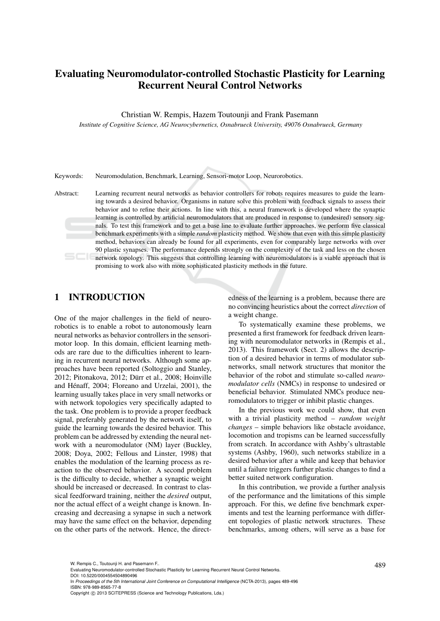# Evaluating Neuromodulator-controlled Stochastic Plasticity for Learning Recurrent Neural Control Networks

Christian W. Rempis, Hazem Toutounji and Frank Pasemann

*Institute of Cognitive Science, AG Neurocybernetics, Osnabrueck University, 49076 Osnabrueck, Germany*

Keywords: Neuromodulation, Benchmark, Learning, Sensori-motor Loop, Neurorobotics.

Abstract: Learning recurrent neural networks as behavior controllers for robots requires measures to guide the learning towards a desired behavior. Organisms in nature solve this problem with feedback signals to assess their behavior and to refine their actions. In line with this, a neural framework is developed where the synaptic learning is controlled by artificial neuromodulators that are produced in response to (undesired) sensory signals. To test this framework and to get a base line to evaluate further approaches, we perform five classical benchmark experiments with a simple *random* plasticity method. We show that even with this simple plasticity method, behaviors can already be found for all experiments, even for comparably large networks with over 90 plastic synapses. The performance depends strongly on the complexity of the task and less on the chosen network topology. This suggests that controlling learning with neuromodulators is a viable approach that is promising to work also with more sophisticated plasticity methods in the future.

## 1 INTRODUCTION

One of the major challenges in the field of neurorobotics is to enable a robot to autonomously learn neural networks as behavior controllers in the sensorimotor loop. In this domain, efficient learning methods are rare due to the difficulties inherent to learning in recurrent neural networks. Although some approaches have been reported (Soltoggio and Stanley, 2012; Pitonakova, 2012; Dürr et al., 2008; Hoinville and Hénaff, 2004; Floreano and Urzelai, 2001), the learning usually takes place in very small networks or with network topologies very specifically adapted to the task. One problem is to provide a proper feedback signal, preferably generated by the network itself, to guide the learning towards the desired behavior. This problem can be addressed by extending the neural network with a neuromodulator (NM) layer (Buckley, 2008; Doya, 2002; Fellous and Linster, 1998) that enables the modulation of the learning process as reaction to the observed behavior. A second problem is the difficulty to decide, whether a synaptic weight should be increased or decreased. In contrast to classical feedforward training, neither the *desired* output, nor the actual effect of a weight change is known. Increasing and decreasing a synapse in such a network may have the same effect on the behavior, depending on the other parts of the network. Hence, the directedness of the learning is a problem, because there are no convincing heuristics about the correct *direction* of a weight change.

To systematically examine these problems, we presented a first framework for feedback driven learning with neuromodulator networks in (Rempis et al., 2013). This framework (Sect. 2) allows the description of a desired behavior in terms of modulator subnetworks, small network structures that monitor the behavior of the robot and stimulate so-called *neuromodulator cells* (NMCs) in response to undesired or beneficial behavior. Stimulated NMCs produce neuromodulators to trigger or inhibit plastic changes.

In the previous work we could show, that even with a trivial plasticity method – *random weight changes* – simple behaviors like obstacle avoidance, locomotion and tropisms can be learned successfully from scratch. In accordance with Ashby's ultrastable systems (Ashby, 1960), such networks stabilize in a desired behavior after a while and keep that behavior until a failure triggers further plastic changes to find a better suited network configuration.

In this contribution, we provide a further analysis of the performance and the limitations of this simple approach. For this, we define five benchmark experiments and test the learning performance with different topologies of plastic network structures. These benchmarks, among others, will serve as a base for

DOI: 10.5220/0004554504890496

W. Rempis C., Toutounji H. and Pasemann F..<br>Evaluating Neuromodulator-controlled Stochastic Plasticity for Learning Recurrent Neural Control Networks.

In *Proceedings of the 5th International Joint Conference on Computational Intelligence* (NCTA-2013), pages 489-496 ISBN: 978-989-8565-77-8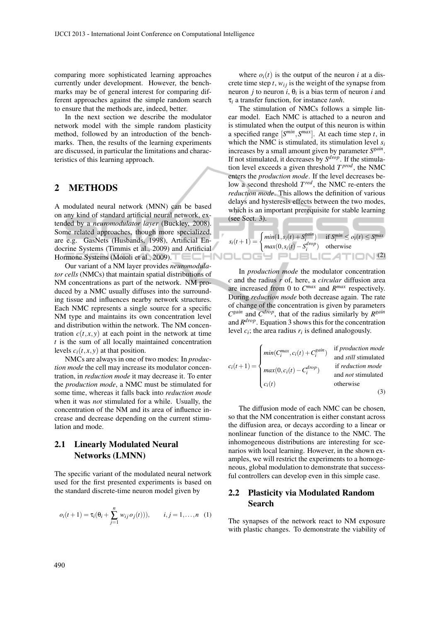comparing more sophisticated learning approaches currently under development. However, the benchmarks may be of general interest for comparing different approaches against the simple random search to ensure that the methods are, indeed, better.

In the next section we describe the modulator network model with the simple random plasticity method, followed by an introduction of the benchmarks. Then, the results of the learning experiments are discussed, in particular the limitations and characteristics of this learning approach.

### 2 METHODS

A modulated neural network (MNN) can be based on any kind of standard artificial neural network, extended by a *neuromodulator layer* (Buckley, 2008). Some related approaches, though more specialized, are e.g. GasNets (Husbands, 1998), Artificial Endocrine Systems (Timmis et al., 2009) and Artificial Hormone Systems (Moioli et al., 2009).

Our variant of a NM layer provides *neuromodulator cells* (NMCs) that maintain spatial distributions of NM concentrations as part of the network. NM produced by a NMC usually diffuses into the surrounding tissue and influences nearby network structures. Each NMC represents a single source for a specific NM type and maintains its own concentration level and distribution within the network. The NM concentration  $c(t, x, y)$  at each point in the network at time *t* is the sum of all locally maintained concentration levels  $c_i(t, x, y)$  at that position.

NMCs are always in one of two modes: In *production mode* the cell may increase its modulator concentration, in *reduction mode* it may decrease it. To enter the *production mode*, a NMC must be stimulated for some time, whereas it falls back into *reduction mode* when it was *not* stimulated for a while. Usually, the concentration of the NM and its area of influence increase and decrease depending on the current stimulation and mode.

## 2.1 Linearly Modulated Neural Networks (LMNN)

The specific variant of the modulated neural network used for the first presented experiments is based on the standard discrete-time neuron model given by

$$
o_i(t+1) = \tau_i(\theta_i + \sum_{j=1}^n w_{ij} o_j(t))), \qquad i, j = 1, ..., n \quad (1)
$$

where  $o_i(t)$  is the output of the neuron *i* at a discrete time step  $t$ ,  $w_{ij}$  is the weight of the synapse from neuron *j* to neuron *i*,  $\theta_i$  is a bias term of neuron *i* and τ*<sup>i</sup>* a transfer function, for instance *tanh*.

The stimulation of NMCs follows a simple linear model. Each NMC is attached to a neuron and is stimulated when the output of this neuron is within a specified range  $[S^{min}, S^{max}]$ . At each time step *t*, in which the NMC is stimulated, its stimulation level *s<sup>i</sup>* increases by a small amount given by parameter  $S<sup>gain</sup>$ . If not stimulated, it decreases by *S drop*. If the stimulation level exceeds a given threshold *T prod*, the NMC enters the *production mode*. If the level decreases below a second threshold *T red*, the NMC re-enters the *reduction mode*. This allows the definition of various delays and hysteresis effects between the two modes, which is an important prerequisite for stable learning (see Sect. 3).

$$
s_i(t+1) = \begin{cases} min(1, s_i(t) + S_i^{gain}) & \text{if } S_i^{min} \le o_i(t) \le S_i^{max} \\ max(0, s_i(t) - S_i^{drop}) & \text{otherwise} \end{cases}
$$
(2)

In *production mode* the modulator concentration *c* and the radius *r* of, here, a *circular* diffusion area are increased from 0 to  $C^{max}$  and  $R^{max}$  respectively. During *reduction mode* both decrease again. The rate of change of the concentration is given by parameters  $C^{gain}$  and  $\overline{C}^{drop}$ , that of the radius similarly by  $R^{gain}$ and *R drop*. Equation 3 shows this for the concentration level  $c_i$ ; the area radius  $r_i$  is defined analogously.

$$
c_i(t+1) = \begin{cases} min(C_i^{max}, c_i(t) + C_i^{gain}) & \text{if production mode} \\ max(0, c_i(t) - C_i^{drop}) & \text{if reduction mode} \\ max(0, c_i(t) & \text{and not stimulated} \\ c_i(t) & \text{otherwise} \end{cases}
$$
(3)

The diffusion mode of each NMC can be chosen, so that the NM concentration is either constant across the diffusion area, or decays according to a linear or nonlinear function of the distance to the NMC. The inhomogeneous distributions are interesting for scenarios with local learning. However, in the shown examples, we will restrict the experiments to a homogeneous, global modulation to demonstrate that successful controllers can develop even in this simple case.

## 2.2 Plasticity via Modulated Random Search

The synapses of the network react to NM exposure with plastic changes. To demonstrate the viability of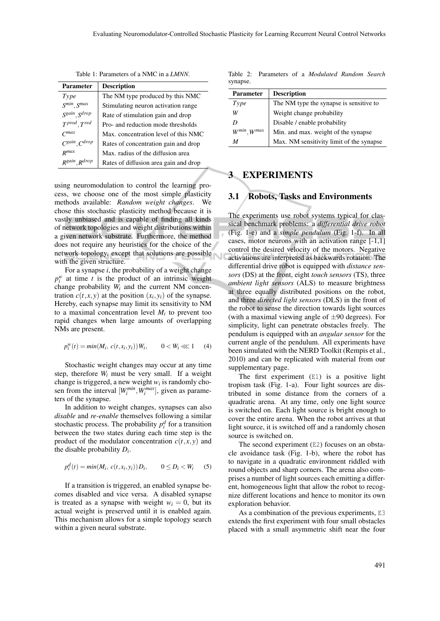| <b>Parameter</b>                                               | <b>Description</b>                    |
|----------------------------------------------------------------|---------------------------------------|
| Type                                                           | The NM type produced by this NMC      |
| $S^{\ensuremath{\textit{min}}}, S^{\ensuremath{\textit{max}}}$ | Stimulating neuron activation range   |
| S <sup>gain</sup> , S <sup>drop</sup>                          | Rate of stimulation gain and drop     |
| $T^{prod}, T^{red}$                                            | Pro- and reduction mode thresholds    |
| $C$ <i>max</i>                                                 | Max, concentration level of this NMC  |
| $C^{gain}, C^{drop}$                                           | Rates of concentration gain and drop  |
| $R$ <i>max</i>                                                 | Max, radius of the diffusion area     |
| R <sup>gain</sup> , R <sup>drop</sup>                          | Rates of diffusion area gain and drop |

Table 1: Parameters of a NMC in a *LMNN*.

using neuromodulation to control the learning process, we choose one of the most simple plasticity methods available: *Random weight changes*. We chose this stochastic plasticity method because it is vastly unbiased and is capable of finding all kinds of network topologies and weight distributions within a given network substrate. Furthermore, the method does not require any heuristics for the choice of the network topology, except that solutions are possible with the given structure.

For a synapse *i*, the probability of a weight change  $p_i^w$  at time *t* is the product of an intrinsic weight change probability *W<sup>i</sup>* and the current NM concentration  $c(t, x, y)$  at the position  $(x_i, y_i)$  of the synapse. Hereby, each synapse may limit its sensitivity to NM to a maximal concentration level  $M_i$  to prevent too rapid changes when large amounts of overlapping NMs are present.

$$
p_i^w(t) = min(M_i, c(t, x_i, y_i)) W_i, \qquad 0 < W_i \ll 1 \tag{4}
$$

Stochastic weight changes may occur at any time step, therefore  $W_i$  must be very small. If a weight change is triggered, a new weight  $w_i$  is randomly chosen from the interval  $[W_i^{min}, W_i^{max}]$ , given as parameters of the synapse.

In addition to weight changes, synapses can also *disable* and *re-enable* themselves following a similar stochastic process. The probability  $p_i^d$  for a transition between the two states during each time step is the product of the modulator concentration  $c(t, x, y)$  and the disable probability *D<sup>i</sup>* .

$$
p_i^d(t) = min(M_i, c(t, x_i, y_i)) D_i, \qquad 0 \le D_i < W_i \tag{5}
$$

If a transition is triggered, an enabled synapse becomes disabled and vice versa. A disabled synapse is treated as a synapse with weight  $w_i = 0$ , but its actual weight is preserved until it is enabled again. This mechanism allows for a simple topology search within a given neural substrate.

Table 2: Parameters of a *Modulated Random Search* synapse.

| <b>Parameter</b>      | <b>Description</b>                       |  |  |  |
|-----------------------|------------------------------------------|--|--|--|
| Type                  | The NM type the synapse is sensitive to  |  |  |  |
| W                     | Weight change probability                |  |  |  |
| D                     | Disable / enable probability             |  |  |  |
| $W^{min}$ , $W^{max}$ | Min. and max. weight of the synapse      |  |  |  |
| М                     | Max. NM sensitivity limit of the synapse |  |  |  |

### 3 EXPERIMENTS

#### 3.1 Robots, Tasks and Environments

The experiments use robot systems typical for classical benchmark problems: a *differential drive robot* (Fig. 1-e) and a *simple pendulum* (Fig. 1-f). In all cases, motor neurons with an activation range [-1,1] control the desired velocity of the motors. Negative activations are interpreted as backwards rotation. The differential drive robot is equipped with *distance sensors* (DS) at the front, eight *touch sensors* (TS), three *ambient light sensors* (ALS) to measure brightness at three equally distributed positions on the robot, and three *directed light sensors* (DLS) in the front of the robot to sense the direction towards light sources (with a maximal viewing angle of  $\pm 90$  degrees). For simplicity, light can penetrate obstacles freely. The pendulum is equipped with an *angular sensor* for the current angle of the pendulum. All experiments have been simulated with the NERD Toolkit (Rempis et al., 2010) and can be replicated with material from our supplementary page.

The first experiment  $(E1)$  is a positive light tropism task (Fig. 1-a). Four light sources are distributed in some distance from the corners of a quadratic arena. At any time, only one light source is switched on. Each light source is bright enough to cover the entire arena. When the robot arrives at that light source, it is switched off and a randomly chosen source is switched on.

The second experiment (E2) focuses on an obstacle avoidance task (Fig. 1-b), where the robot has to navigate in a quadratic environment riddled with round objects and sharp corners. The arena also comprises a number of light sources each emitting a different, homogeneous light that allow the robot to recognize different locations and hence to monitor its own exploration behavior.

As a combination of the previous experiments, E3 extends the first experiment with four small obstacles placed with a small asymmetric shift near the four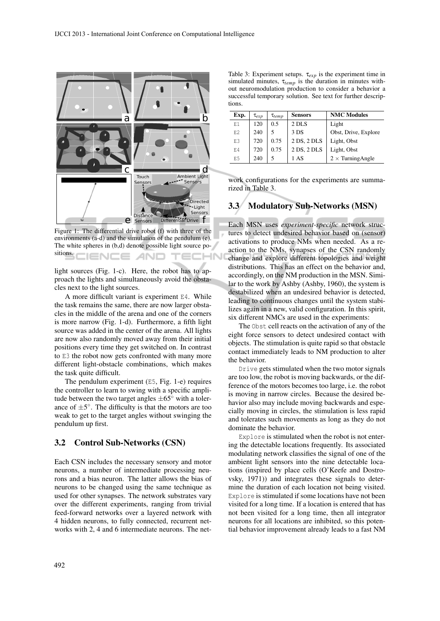

Figure 1: The differential drive robot (f) with three of the environments (a-d) and the simulation of the pendulum (e). The white spheres in (b,d) denote possible light source positions. IENCE *A*ND -IN

light sources (Fig. 1-c). Here, the robot has to approach the lights and simultaneously avoid the obstacles next to the light sources.

A more difficult variant is experiment E4. While the task remains the same, there are now larger obstacles in the middle of the arena and one of the corners is more narrow (Fig. 1-d). Furthermore, a fifth light source was added in the center of the arena. All lights are now also randomly moved away from their initial positions every time they get switched on. In contrast to E3 the robot now gets confronted with many more different light-obstacle combinations, which makes the task quite difficult.

The pendulum experiment (E5, Fig. 1-e) requires the controller to learn to swing with a specific amplitude between the two target angles  $\pm 65^\circ$  with a tolerance of  $\pm 5^{\circ}$ . The difficulty is that the motors are too weak to get to the target angles without swinging the pendulum up first.

#### 3.2 Control Sub-Networks (CSN)

Each CSN includes the necessary sensory and motor neurons, a number of intermediate processing neurons and a bias neuron. The latter allows the bias of neurons to be changed using the same technique as used for other synapses. The network substrates vary over the different experiments, ranging from trivial feed-forward networks over a layered network with 4 hidden neurons, to fully connected, recurrent networks with 2, 4 and 6 intermediate neurons. The net-

Table 3: Experiment setups. τ*exp* is the experiment time in simulated minutes, τ*temp* is the duration in minutes without neuromodulation production to consider a behavior a successful temporary solution. See text for further descriptions.

| Exp. | $\tau_{exp}$ | $\tau_{temp}$ | <b>Sensors</b> | <b>NMC</b> Modules       |
|------|--------------|---------------|----------------|--------------------------|
| E1   | 120          | 0.5           | 2 DLS          | Light                    |
| F.2  | 240          | 5             | 3 DS           | Obst, Drive, Explore     |
| E3   | 720          | 0.75          | 2 DS, 2 DLS    | Light, Obst              |
| F.4  | 720          | 0.75          | 2 DS, 2 DLS    | Light, Obst              |
| E5   | 240          |               | 1 AS           | $2 \times$ Turning Angle |

work configurations for the experiments are summarized in Table 3.

### 3.3 Modulatory Sub-Networks (MSN)

Each MSN uses *experiment-specific* network structures to detect undesired behavior based on (sensor) activations to produce NMs when needed. As a reaction to the NMs, synapses of the CSN randomly change and explore different topologies and weight distributions. This has an effect on the behavior and, accordingly, on the NM production in the MSN. Similar to the work by Ashby (Ashby, 1960), the system is destabilized when an undesired behavior is detected, leading to continuous changes until the system stabilizes again in a new, valid configuration. In this spirit, six different NMCs are used in the experiments:

The Obst cell reacts on the activation of any of the eight force sensors to detect undesired contact with objects. The stimulation is quite rapid so that obstacle contact immediately leads to NM production to alter the behavior.

Drive gets stimulated when the two motor signals are too low, the robot is moving backwards, or the difference of the motors becomes too large, i.e. the robot is moving in narrow circles. Because the desired behavior also may include moving backwards and especially moving in circles, the stimulation is less rapid and tolerates such movements as long as they do not dominate the behavior.

Explore is stimulated when the robot is not entering the detectable locations frequently. Its associated modulating network classifies the signal of one of the ambient light sensors into the nine detectable locations (inspired by place cells (O'Keefe and Dostrovsky, 1971)) and integrates these signals to determine the duration of each location not being visited. Explore is stimulated if some locations have not been visited for a long time. If a location is entered that has not been visited for a long time, then all integrator neurons for all locations are inhibited, so this potential behavior improvement already leads to a fast NM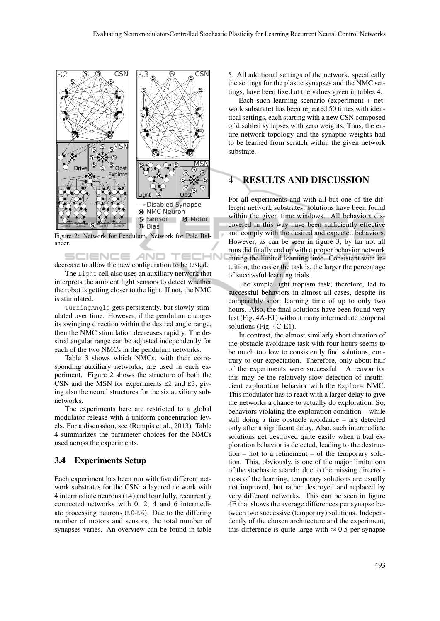

Figure 2: Network for Pendulum, Network for Pole Balancer.

SCIENCE *A*ND decrease to allow the new configuration to be tested.

The Light cell also uses an auxiliary network that interprets the ambient light sensors to detect whether the robot is getting closer to the light. If not, the NMC is stimulated.

TurningAngle gets persistently, but slowly stimulated over time. However, if the pendulum changes its swinging direction within the desired angle range, then the NMC stimulation decreases rapidly. The desired angular range can be adjusted independently for each of the two NMCs in the pendulum networks.

Table 3 shows which NMCs, with their corresponding auxiliary networks, are used in each experiment. Figure 2 shows the structure of both the CSN and the MSN for experiments  $E2$  and  $E3$ , giving also the neural structures for the six auxiliary subnetworks.

The experiments here are restricted to a global modulator release with a uniform concentration levels. For a discussion, see (Rempis et al., 2013). Table 4 summarizes the parameter choices for the NMCs used across the experiments.

#### 3.4 Experiments Setup

Each experiment has been run with five different network substrates for the CSN: a layered network with 4 intermediate neurons (L4) and four fully, recurrently connected networks with 0, 2, 4 and 6 intermediate processing neurons (N0-N6). Due to the differing number of motors and sensors, the total number of synapses varies. An overview can be found in table 5. All additional settings of the network, specifically the settings for the plastic synapses and the NMC settings, have been fixed at the values given in tables 4.

Each such learning scenario (experiment + network substrate) has been repeated 50 times with identical settings, each starting with a new CSN composed of disabled synapses with zero weights. Thus, the entire network topology and the synaptic weights had to be learned from scratch within the given network substrate.

## RESULTS AND DISCUSSION

For all experiments and with all but one of the different network substrates, solutions have been found within the given time windows. All behaviors discovered in this way have been sufficiently effective and comply with the desired and expected behaviors. However, as can be seen in figure 3, by far not all runs did finally end up with a proper behavior network during the limited learning time. Consistent with intuition, the easier the task is, the larger the percentage of successful learning trials.

The simple light tropism task, therefore, led to successful behaviors in almost all cases, despite its comparably short learning time of up to only two hours. Also, the final solutions have been found very fast (Fig. 4A-E1) without many intermediate temporal solutions (Fig. 4C-E1).

In contrast, the almost similarly short duration of the obstacle avoidance task with four hours seems to be much too low to consistently find solutions, contrary to our expectation. Therefore, only about half of the experiments were successful. A reason for this may be the relatively slow detection of insufficient exploration behavior with the Explore NMC. This modulator has to react with a larger delay to give the networks a chance to actually do exploration. So, behaviors violating the exploration condition – while still doing a fine obstacle avoidance – are detected only after a significant delay. Also, such intermediate solutions get destroyed quite easily when a bad exploration behavior is detected, leading to the destruction – not to a refinement – of the temporary solution. This, obviously, is one of the major limitations of the stochastic search: due to the missing directedness of the learning, temporary solutions are usually not improved, but rather destroyed and replaced by very different networks. This can be seen in figure 4E that shows the average differences per synapse between two successive (temporary) solutions. Independently of the chosen architecture and the experiment, this difference is quite large with  $\approx 0.5$  per synapse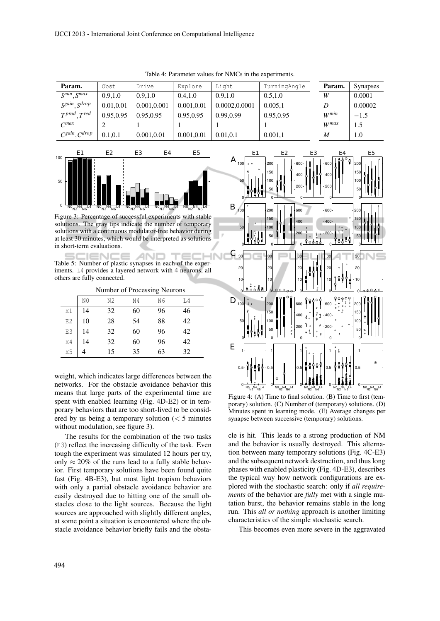| Param.                                | Obst      | Drive       | Explore    | Light         | TurningAngle | Param.           | <b>Synapses</b>  |
|---------------------------------------|-----------|-------------|------------|---------------|--------------|------------------|------------------|
| $S^{min}$ , $S^{max}$                 | 0.9,1.0   | 0.9.1.0     | 0.4.1.0    | 0.9.1.0       | 0.5, 1.0     | W                | 0.0001           |
| S <sup>gain</sup> , S <sup>drop</sup> | 0.01,0.01 | 0.001,0.001 | 0.001,0.01 | 0.0002,0.0001 | 0.005,1      | D                | 0.00002          |
| $T^{prod}$ , $T^{red}$                | 0.95,0.95 | 0.95.0.95   | 0.95,0.95  | 0.99,0.99     | 0.95,0.95    | $W^{min}$        | $-1.5$           |
| $C^{max}$                             |           |             |            |               |              | W <sup>max</sup> | 1.5              |
| $C^{gain}, C^{drop}$                  | 0.1.0.1   | 0.001,0.01  | 0.001,0.01 | 0.01.0.1      | 0.001,1      | М                | 1.0 <sub>l</sub> |

Table 4: Parameter values for NMCs in the experiments.



Figure 3: Percentage of successful experiments with stable solutions. The gray tips indicate the number of temporary solutions with a continuous modulator-free behavior during at least 30 minutes, which would be interpreted as solutions in short-term evaluations.

AN Table 5: Number of plastic synapses in each of the experiments. L4 provides a layered network with 4 neurons, all others are fully connected.

Number of Processing Neurons

|                     | N0 | N2 | N4 | N6 | L4 |
|---------------------|----|----|----|----|----|
| $\mathop{\rm E{1}}$ | 14 | 32 | 60 | 96 | 46 |
| E2<br>E3            | 10 | 28 | 54 | 88 | 42 |
|                     | 14 | 32 | 60 | 96 | 42 |
| $\mathrm{E} \, 4$   | 14 | 32 | 60 | 96 | 42 |
| E <sub>5</sub>      | 4  | 15 | 35 | 63 | 32 |

weight, which indicates large differences between the networks. For the obstacle avoidance behavior this means that large parts of the experimental time are spent with enabled learning (Fig. 4D-E2) or in temporary behaviors that are too short-lived to be considered by us being a temporary solution  $\zeta$  5 minutes without modulation, see figure 3).

The results for the combination of the two tasks (E3) reflect the increasing difficulty of the task. Even tough the experiment was simulated 12 hours per try, only  $\approx$  20% of the runs lead to a fully stable behavior. First temporary solutions have been found quite fast (Fig. 4B-E3), but most light tropism behaviors with only a partial obstacle avoidance behavior are easily destroyed due to hitting one of the small obstacles close to the light sources. Because the light sources are approached with slightly different angles, at some point a situation is encountered where the obstacle avoidance behavior briefly fails and the obsta-



Figure 4: (A) Time to final solution. (B) Time to first (temporary) solution. (C) Number of (temporary) solutions. (D) Minutes spent in learning mode. (E) Average changes per synapse between successive (temporary) solutions.

cle is hit. This leads to a strong production of NM and the behavior is usually destroyed. This alternation between many temporary solutions (Fig. 4C-E3) and the subsequent network destruction, and thus long phases with enabled plasticity (Fig. 4D-E3), describes the typical way how network configurations are explored with the stochastic search: only if *all requirements* of the behavior are *fully* met with a single mutation burst, the behavior remains stable in the long run. This *all or nothing* approach is another limiting characteristics of the simple stochastic search.

This becomes even more severe in the aggravated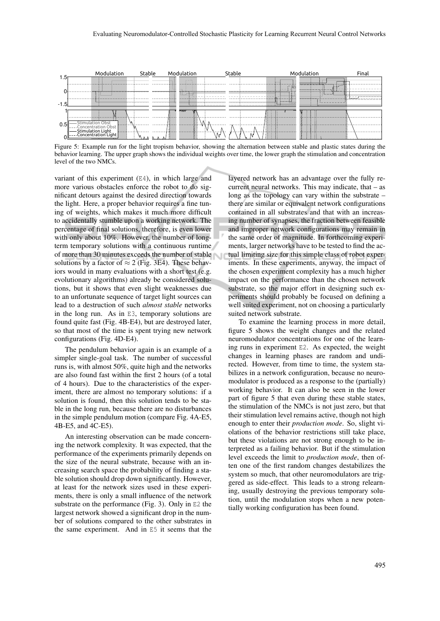

Figure 5: Example run for the light tropism behavior, showing the alternation between stable and plastic states during the behavior learning. The upper graph shows the individual weights over time, the lower graph the stimulation and concentration level of the two NMCs.

variant of this experiment  $(E4)$ , in which large and more various obstacles enforce the robot to do significant detours against the desired direction towards the light. Here, a proper behavior requires a fine tuning of weights, which makes it much more difficult to accidentally stumble upon a working network. The percentage of final solutions, therefore, is even lower with only about 10%. However, the number of longterm temporary solutions with a continuous runtime of more than 30 minutes exceeds the number of stable solutions by a factor of  $\approx$  2 (Fig. 3E4). These behaviors would in many evaluations with a short test (e.g. evolutionary algorithms) already be considered solutions, but it shows that even slight weaknesses due to an unfortunate sequence of target light sources can lead to a destruction of such *almost stable* networks in the long run. As in E3, temporary solutions are found quite fast (Fig. 4B-E4), but are destroyed later, so that most of the time is spent trying new network configurations (Fig. 4D-E4).

The pendulum behavior again is an example of a simpler single-goal task. The number of successful runs is, with almost 50%, quite high and the networks are also found fast within the first 2 hours (of a total of 4 hours). Due to the characteristics of the experiment, there are almost no temporary solutions: if a solution is found, then this solution tends to be stable in the long run, because there are no disturbances in the simple pendulum motion (compare Fig. 4A-E5, 4B-E5, and 4C-E5).

An interesting observation can be made concerning the network complexity. It was expected, that the performance of the experiments primarily depends on the size of the neural substrate, because with an increasing search space the probability of finding a stable solution should drop down significantly. However, at least for the network sizes used in these experiments, there is only a small influence of the network substrate on the performance (Fig. 3). Only in E2 the largest network showed a significant drop in the number of solutions compared to the other substrates in the same experiment. And in E5 it seems that the

layered network has an advantage over the fully recurrent neural networks. This may indicate, that – as long as the topology can vary within the substrate – there are similar or equivalent network configurations contained in all substrates and that with an increasing number of synapses, the fraction between feasible and improper network configurations may remain in the same order of magnitude. In forthcoming experiments, larger networks have to be tested to find the actual limiting size for this simple class of robot experiments. In these experiments, anyway, the impact of the chosen experiment complexity has a much higher impact on the performance than the chosen network substrate, so the major effort in designing such experiments should probably be focused on defining a well suited experiment, not on choosing a particularly suited network substrate.

To examine the learning process in more detail, figure 5 shows the weight changes and the related neuromodulator concentrations for one of the learning runs in experiment E2. As expected, the weight changes in learning phases are random and undirected. However, from time to time, the system stabilizes in a network configuration, because no neuromodulator is produced as a response to the (partially) working behavior. It can also be seen in the lower part of figure 5 that even during these stable states, the stimulation of the NMCs is not just zero, but that their stimulation level remains active, though not high enough to enter their *production mode*. So, slight violations of the behavior restrictions still take place, but these violations are not strong enough to be interpreted as a failing behavior. But if the stimulation level exceeds the limit to *production mode*, then often one of the first random changes destabilizes the system so much, that other neuromodulators are triggered as side-effect. This leads to a strong relearning, usually destroying the previous temporary solution, until the modulation stops when a new potentially working configuration has been found.